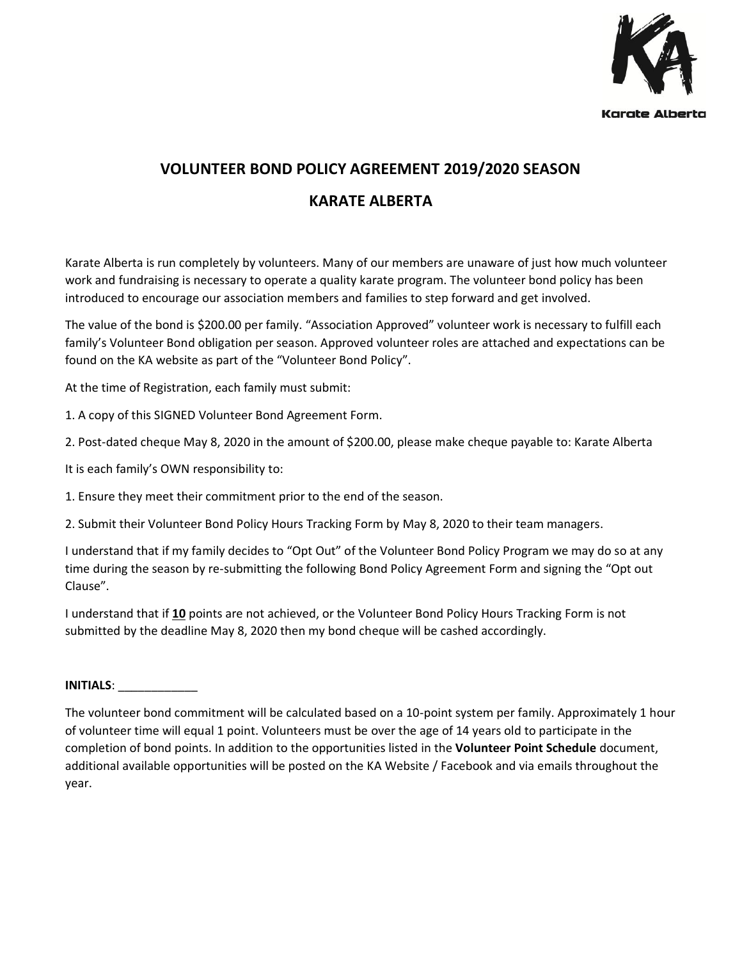

# **VOLUNTEER BOND POLICY AGREEMENT 2019/2020 SEASON**

## **KARATE ALBERTA**

Karate Alberta is run completely by volunteers. Many of our members are unaware of just how much volunteer work and fundraising is necessary to operate a quality karate program. The volunteer bond policy has been introduced to encourage our association members and families to step forward and get involved.

The value of the bond is \$200.00 per family. "Association Approved" volunteer work is necessary to fulfill each family's Volunteer Bond obligation per season. Approved volunteer roles are attached and expectations can be found on the KA website as part of the "Volunteer Bond Policy".

At the time of Registration, each family must submit:

1. A copy of this SIGNED Volunteer Bond Agreement Form.

2. Post-dated cheque May 8, 2020 in the amount of \$200.00, please make cheque payable to: Karate Alberta

It is each family's OWN responsibility to:

1. Ensure they meet their commitment prior to the end of the season.

2. Submit their Volunteer Bond Policy Hours Tracking Form by May 8, 2020 to their team managers.

I understand that if my family decides to "Opt Out" of the Volunteer Bond Policy Program we may do so at any time during the season by re-submitting the following Bond Policy Agreement Form and signing the "Opt out Clause".

I understand that if **10** points are not achieved, or the Volunteer Bond Policy Hours Tracking Form is not submitted by the deadline May 8, 2020 then my bond cheque will be cashed accordingly.

#### **INITIALS**: \_\_\_\_\_\_\_\_\_\_\_\_

The volunteer bond commitment will be calculated based on a 10-point system per family. Approximately 1 hour of volunteer time will equal 1 point. Volunteers must be over the age of 14 years old to participate in the completion of bond points. In addition to the opportunities listed in the **Volunteer Point Schedule** document, additional available opportunities will be posted on the KA Website / Facebook and via emails throughout the year.